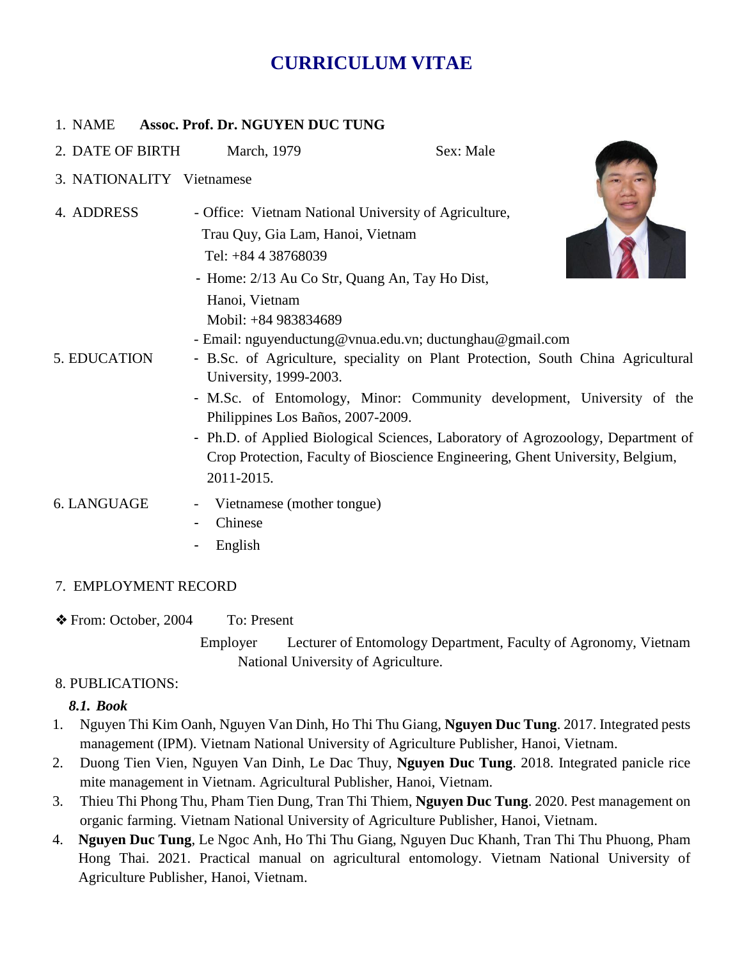# **CURRICULUM VITAE**

#### 1. NAME **Assoc. Prof. Dr. NGUYEN DUC TUNG**

- 2. DATE OF BIRTH March, 1979 Sex: Male
- 3. NATIONALITY Vietnamese
- 4. ADDRESS Office: Vietnam National University of Agriculture, Trau Quy, Gia Lam, Hanoi, Vietnam Tel: +84 4 38768039
	- Home: 2/13 Au Co Str, Quang An, Tay Ho Dist, Hanoi, Vietnam Mobil: +84 983834689



- Email: nguyenductung@vnua.edu.vn; ductunghau@gmail.com
- 5. EDUCATION B.Sc. of Agriculture, speciality on Plant Protection, South China Agricultural University, 1999-2003.
	- M.Sc. of Entomology, Minor: Community development, University of the Philippines Los Baños, 2007-2009.
	- Ph.D. of Applied Biological Sciences, Laboratory of Agrozoology, Department of Crop Protection, Faculty of Bioscience Engineering, Ghent University, Belgium, 2011-2015.
- 6. LANGUAGE Vietnamese (mother tongue)
	- **Chinese**
	- **English**

#### 7. EMPLOYMENT RECORD

- ❖ From: October, 2004 To: Present
	- Employer Lecturer of Entomology Department, Faculty of Agronomy, Vietnam National University of Agriculture.

## 8. PUBLICATIONS:

#### *8.1. Book*

- 1. Nguyen Thi Kim Oanh, Nguyen Van Dinh, Ho Thi Thu Giang, **Nguyen Duc Tung**. 2017. Integrated pests management (IPM). Vietnam National University of Agriculture Publisher, Hanoi, Vietnam.
- 2. Duong Tien Vien, Nguyen Van Dinh, Le Dac Thuy, **Nguyen Duc Tung**. 2018. Integrated panicle rice mite management in Vietnam. Agricultural Publisher, Hanoi, Vietnam.
- 3. Thieu Thi Phong Thu, Pham Tien Dung, Tran Thi Thiem, **Nguyen Duc Tung**. 2020. Pest management on organic farming. Vietnam National University of Agriculture Publisher, Hanoi, Vietnam.
- 4. **Nguyen Duc Tung**, Le Ngoc Anh, Ho Thi Thu Giang, Nguyen Duc Khanh, Tran Thi Thu Phuong, Pham Hong Thai. 2021. Practical manual on agricultural entomology. Vietnam National University of Agriculture Publisher, Hanoi, Vietnam.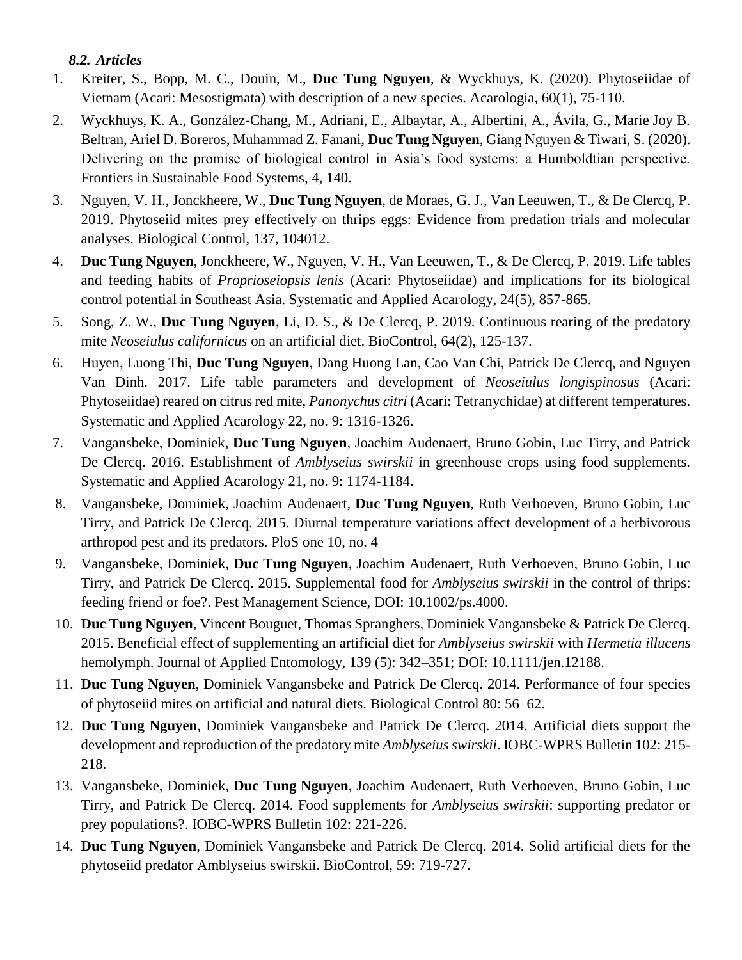*8.2. Articles* 

- 1. Kreiter, S., Bopp, M. C., Douin, M., **Duc Tung Nguyen**, & Wyckhuys, K. (2020). Phytoseiidae of Vietnam (Acari: Mesostigmata) with description of a new species. Acarologia, 60(1), 75-110.
- 2. Wyckhuys, K. A., González-Chang, M., Adriani, E., Albaytar, A., Albertini, A., Ávila, G., Marie Joy B. Beltran, Ariel D. Boreros, Muhammad Z. Fanani, **Duc Tung Nguyen**, Giang Nguyen & Tiwari, S. (2020). Delivering on the promise of biological control in Asia's food systems: a Humboldtian perspective. Frontiers in Sustainable Food Systems, 4, 140.
- 3. Nguyen, V. H., Jonckheere, W., **Duc Tung Nguyen**, de Moraes, G. J., Van Leeuwen, T., & De Clercq, P. 2019. Phytoseiid mites prey effectively on thrips eggs: Evidence from predation trials and molecular analyses. Biological Control, 137, 104012.
- 4. **Duc Tung Nguyen**, Jonckheere, W., Nguyen, V. H., Van Leeuwen, T., & De Clercq, P. 2019. Life tables and feeding habits of *Proprioseiopsis lenis* (Acari: Phytoseiidae) and implications for its biological control potential in Southeast Asia. Systematic and Applied Acarology, 24(5), 857-865.
- 5. Song, Z. W., **Duc Tung Nguyen**, Li, D. S., & De Clercq, P. 2019. Continuous rearing of the predatory mite *Neoseiulus californicus* on an artificial diet. BioControl, 64(2), 125-137.
- 6. Huyen, Luong Thi, **Duc Tung Nguyen**, Dang Huong Lan, Cao Van Chi, Patrick De Clercq, and Nguyen Van Dinh. 2017. Life table parameters and development of *Neoseiulus longispinosus* (Acari: Phytoseiidae) reared on citrus red mite, *Panonychus citri* (Acari: Tetranychidae) at different temperatures. Systematic and Applied Acarology 22, no. 9: 1316-1326.
- 7. Vangansbeke, Dominiek, **Duc Tung Nguyen**, Joachim Audenaert, Bruno Gobin, Luc Tirry, and Patrick De Clercq. 2016. Establishment of *Amblyseius swirskii* in greenhouse crops using food supplements. Systematic and Applied Acarology 21, no. 9: 1174-1184.
- 8. Vangansbeke, Dominiek, Joachim Audenaert, **Duc Tung Nguyen**, Ruth Verhoeven, Bruno Gobin, Luc Tirry, and Patrick De Clercq. 2015. Diurnal temperature variations affect development of a herbivorous arthropod pest and its predators. PloS one 10, no. 4
- 9. Vangansbeke, Dominiek, **Duc Tung Nguyen**, Joachim Audenaert, Ruth Verhoeven, Bruno Gobin, Luc Tirry, and Patrick De Clercq. 2015. Supplemental food for *Amblyseius swirskii* in the control of thrips: feeding friend or foe?. Pest Management Science, DOI: 10.1002/ps.4000.
- 10. **Duc Tung Nguyen**, Vincent Bouguet, Thomas Spranghers, Dominiek Vangansbeke & Patrick De Clercq. 2015. Beneficial effect of supplementing an artificial diet for *Amblyseius swirskii* with *Hermetia illucens* hemolymph. Journal of Applied Entomology, 139 (5): 342–351; DOI: 10.1111/jen.12188.
- 11. **Duc Tung Nguyen**, Dominiek Vangansbeke and Patrick De Clercq. 2014. Performance of four species of phytoseiid mites on artificial and natural diets. Biological Control 80: 56–62.
- 12. **Duc Tung Nguyen**, Dominiek Vangansbeke and Patrick De Clercq. 2014. Artificial diets support the development and reproduction of the predatory mite *Amblyseius swirskii*. IOBC-WPRS Bulletin 102: 215- 218.
- 13. Vangansbeke, Dominiek, **Duc Tung Nguyen**, Joachim Audenaert, Ruth Verhoeven, Bruno Gobin, Luc Tirry, and Patrick De Clercq. 2014. Food supplements for *Amblyseius swirskii*: supporting predator or prey populations?. IOBC-WPRS Bulletin 102: 221-226.
- 14. **Duc Tung Nguyen**, Dominiek Vangansbeke and Patrick De Clercq. 2014. Solid artificial diets for the phytoseiid predator Amblyseius swirskii. BioControl, 59: 719-727.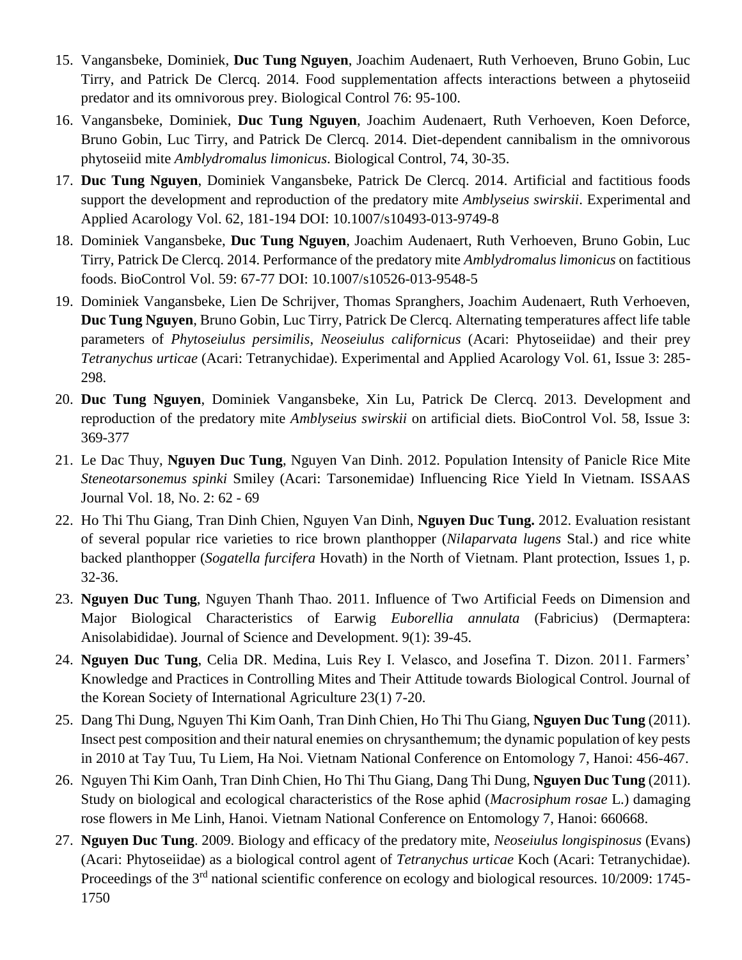- 15. Vangansbeke, Dominiek, **Duc Tung Nguyen**, Joachim Audenaert, Ruth Verhoeven, Bruno Gobin, Luc Tirry, and Patrick De Clercq. 2014. Food supplementation affects interactions between a phytoseiid predator and its omnivorous prey. Biological Control 76: 95-100.
- 16. Vangansbeke, Dominiek, **Duc Tung Nguyen**, Joachim Audenaert, Ruth Verhoeven, Koen Deforce, Bruno Gobin, Luc Tirry, and Patrick De Clercq. 2014. Diet-dependent cannibalism in the omnivorous phytoseiid mite *Amblydromalus limonicus*. Biological Control, 74, 30-35.
- 17. **Duc Tung Nguyen**, Dominiek Vangansbeke, Patrick De Clercq. 2014. Artificial and factitious foods support the development and reproduction of the predatory mite *Amblyseius swirskii*. Experimental and Applied Acarology Vol. 62, 181-194 DOI: 10.1007/s10493-013-9749-8
- 18. Dominiek Vangansbeke, **Duc Tung Nguyen**, Joachim Audenaert, Ruth Verhoeven, Bruno Gobin, Luc Tirry, Patrick De Clercq. 2014. Performance of the predatory mite *Amblydromalus limonicus* on factitious foods. BioControl Vol. 59: 67-77 DOI: 10.1007/s10526-013-9548-5
- 19. Dominiek Vangansbeke, Lien De Schrijver, Thomas Spranghers, Joachim Audenaert, Ruth Verhoeven, **Duc Tung Nguyen**, Bruno Gobin, Luc Tirry, Patrick De Clercq. Alternating temperatures affect life table parameters of *Phytoseiulus persimilis*, *Neoseiulus californicus* (Acari: Phytoseiidae) and their prey *Tetranychus urticae* (Acari: Tetranychidae). Experimental and Applied Acarology Vol. 61, Issue 3: 285- 298.
- 20. **Duc Tung Nguyen**, Dominiek Vangansbeke, Xin Lu, Patrick De Clercq. 2013. Development and reproduction of the predatory mite *Amblyseius swirskii* on artificial diets. BioControl Vol. 58, Issue 3: 369-377
- 21. Le Dac Thuy, **Nguyen Duc Tung**, Nguyen Van Dinh. 2012. Population Intensity of Panicle Rice Mite *Steneotarsonemus spinki* Smiley (Acari: Tarsonemidae) Influencing Rice Yield In Vietnam. ISSAAS Journal Vol. 18, No. 2: 62 - 69
- 22. Ho Thi Thu Giang, Tran Dinh Chien, Nguyen Van Dinh, **Nguyen Duc Tung.** 2012. Evaluation resistant of several popular rice varieties to rice brown planthopper (*Nilaparvata lugens* Stal.) and rice white backed planthopper (*Sogatella furcifera* Hovath) in the North of Vietnam. Plant protection, Issues 1, p. 32-36.
- 23. **Nguyen Duc Tung**, Nguyen Thanh Thao. 2011. Influence of Two Artificial Feeds on Dimension and Major Biological Characteristics of Earwig *Euborellia annulata* (Fabricius) (Dermaptera: Anisolabididae). Journal of Science and Development. 9(1): 39-45.
- 24. **Nguyen Duc Tung**, Celia DR. Medina, Luis Rey I. Velasco, and Josefina T. Dizon. 2011. Farmers' Knowledge and Practices in Controlling Mites and Their Attitude towards Biological Control. Journal of the Korean Society of International Agriculture 23(1) 7-20.
- 25. Dang Thi Dung, Nguyen Thi Kim Oanh, Tran Dinh Chien, Ho Thi Thu Giang, **Nguyen Duc Tung** (2011). Insect pest composition and their natural enemies on chrysanthemum; the dynamic population of key pests in 2010 at Tay Tuu, Tu Liem, Ha Noi. Vietnam National Conference on Entomology 7, Hanoi: 456-467.
- 26. Nguyen Thi Kim Oanh, Tran Dinh Chien, Ho Thi Thu Giang, Dang Thi Dung, **Nguyen Duc Tung** (2011). Study on biological and ecological characteristics of the Rose aphid (*Macrosiphum rosae* L.) damaging rose flowers in Me Linh, Hanoi. Vietnam National Conference on Entomology 7, Hanoi: 660668.
- 27. **Nguyen Duc Tung**. 2009. Biology and efficacy of the predatory mite, *Neoseiulus longispinosus* (Evans) (Acari: Phytoseiidae) as a biological control agent of *Tetranychus urticae* Koch (Acari: Tetranychidae). Proceedings of the 3<sup>rd</sup> national scientific conference on ecology and biological resources. 10/2009: 1745-1750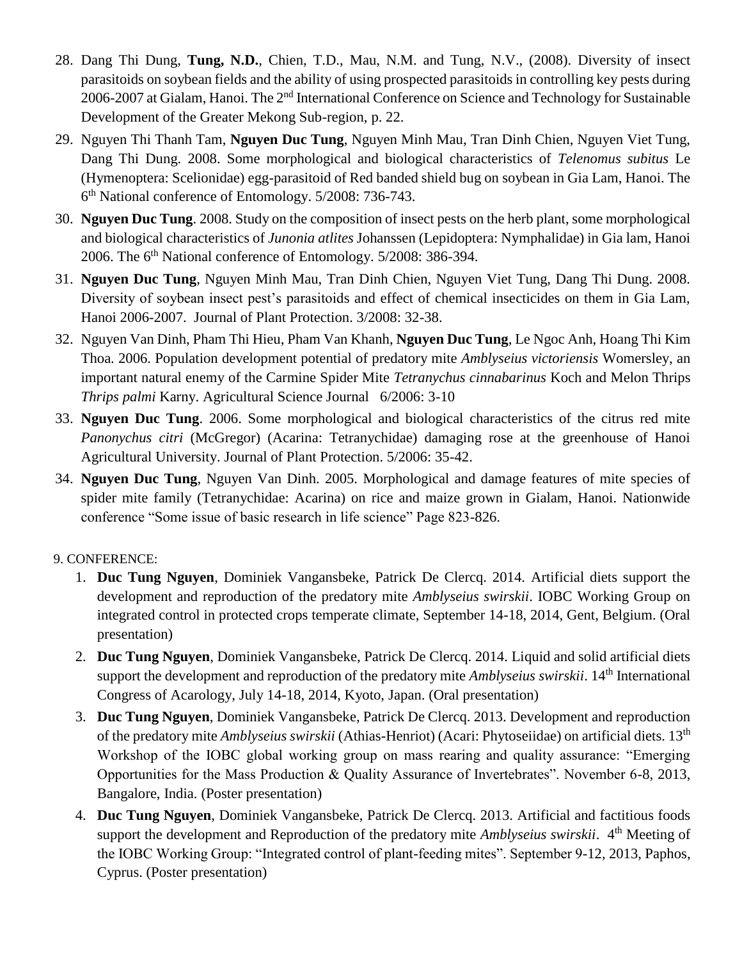- 28. Dang Thi Dung, **Tung, N.D.**, Chien, T.D., Mau, N.M. and Tung, N.V., (2008). Diversity of insect parasitoids on soybean fields and the ability of using prospected parasitoids in controlling key pests during 2006-2007 at Gialam, Hanoi. The 2<sup>nd</sup> International Conference on Science and Technology for Sustainable Development of the Greater Mekong Sub-region, p. 22.
- 29. Nguyen Thi Thanh Tam, **Nguyen Duc Tung**, Nguyen Minh Mau, Tran Dinh Chien, Nguyen Viet Tung, Dang Thi Dung. 2008. Some morphological and biological characteristics of *Telenomus subitus* Le (Hymenoptera: Scelionidae) egg-parasitoid of Red banded shield bug on soybean in Gia Lam, Hanoi. The 6<sup>th</sup> National conference of Entomology. 5/2008: 736-743.
- 30. **Nguyen Duc Tung**. 2008. Study on the composition of insect pests on the herb plant, some morphological and biological characteristics of *Junonia atlites* Johanssen (Lepidoptera: Nymphalidae) in Gia lam, Hanoi 2006. The 6<sup>th</sup> National conference of Entomology. 5/2008: 386-394.
- 31. **Nguyen Duc Tung**, Nguyen Minh Mau, Tran Dinh Chien, Nguyen Viet Tung, Dang Thi Dung. 2008. Diversity of soybean insect pest's parasitoids and effect of chemical insecticides on them in Gia Lam, Hanoi 2006-2007. Journal of Plant Protection. 3/2008: 32-38.
- 32. Nguyen Van Dinh, Pham Thi Hieu, Pham Van Khanh, **Nguyen Duc Tung**, Le Ngoc Anh, Hoang Thi Kim Thoa. 2006. Population development potential of predatory mite *Amblyseius victoriensis* Womersley, an important natural enemy of the Carmine Spider Mite *Tetranychus cinnabarinus* Koch and Melon Thrips *Thrips palmi* Karny. Agricultural Science Journal 6/2006: 3-10
- 33. **Nguyen Duc Tung**. 2006. Some morphological and biological characteristics of the citrus red mite *Panonychus citri* (McGregor) (Acarina: Tetranychidae) damaging rose at the greenhouse of Hanoi Agricultural University. Journal of Plant Protection. 5/2006: 35-42.
- 34. **Nguyen Duc Tung**, Nguyen Van Dinh. 2005. Morphological and damage features of mite species of spider mite family (Tetranychidae: Acarina) on rice and maize grown in Gialam, Hanoi. Nationwide conference "Some issue of basic research in life science" Page 823-826.

## 9. CONFERENCE:

- 1. **Duc Tung Nguyen**, Dominiek Vangansbeke, Patrick De Clercq. 2014. Artificial diets support the development and reproduction of the predatory mite *Amblyseius swirskii*. IOBC Working Group on integrated control in protected crops temperate climate, September 14-18, 2014, Gent, Belgium. (Oral presentation)
- 2. **Duc Tung Nguyen**, Dominiek Vangansbeke, Patrick De Clercq. 2014. Liquid and solid artificial diets support the development and reproduction of the predatory mite *Amblyseius swirskii*. 14<sup>th</sup> International Congress of Acarology, July 14-18, 2014, Kyoto, Japan. (Oral presentation)
- 3. **Duc Tung Nguyen**, Dominiek Vangansbeke, Patrick De Clercq. 2013. Development and reproduction of the predatory mite *Amblyseius swirskii* (Athias-Henriot) (Acari: Phytoseiidae) on artificial diets. 13th Workshop of the IOBC global working group on mass rearing and quality assurance: "Emerging Opportunities for the Mass Production & Quality Assurance of Invertebrates". November 6-8, 2013, Bangalore, India. (Poster presentation)
- 4. **Duc Tung Nguyen**, Dominiek Vangansbeke, Patrick De Clercq. 2013. Artificial and factitious foods support the development and Reproduction of the predatory mite *Amblyseius swirskii*. 4<sup>th</sup> Meeting of the IOBC Working Group: "Integrated control of plant-feeding mites". September 9-12, 2013, Paphos, Cyprus. (Poster presentation)